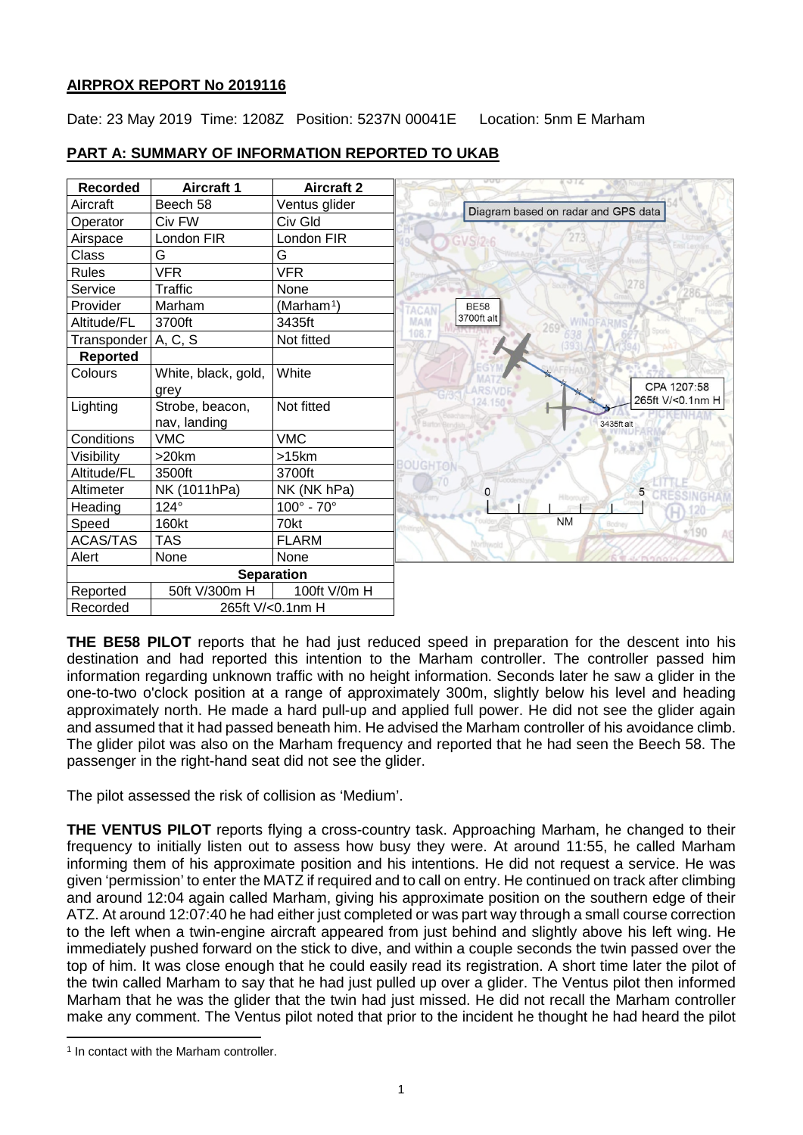# **AIRPROX REPORT No 2019116**

Date: 23 May 2019 Time: 1208Z Position: 5237N 00041E Location: 5nm E Marham



# **PART A: SUMMARY OF INFORMATION REPORTED TO UKAB**

**THE BE58 PILOT** reports that he had just reduced speed in preparation for the descent into his destination and had reported this intention to the Marham controller. The controller passed him information regarding unknown traffic with no height information. Seconds later he saw a glider in the one-to-two o'clock position at a range of approximately 300m, slightly below his level and heading approximately north. He made a hard pull-up and applied full power. He did not see the glider again and assumed that it had passed beneath him. He advised the Marham controller of his avoidance climb. The glider pilot was also on the Marham frequency and reported that he had seen the Beech 58. The passenger in the right-hand seat did not see the glider.

The pilot assessed the risk of collision as 'Medium'.

**THE VENTUS PILOT** reports flying a cross-country task. Approaching Marham, he changed to their frequency to initially listen out to assess how busy they were. At around 11:55, he called Marham informing them of his approximate position and his intentions. He did not request a service. He was given 'permission' to enter the MATZ if required and to call on entry. He continued on track after climbing and around 12:04 again called Marham, giving his approximate position on the southern edge of their ATZ. At around 12:07:40 he had either just completed or was part way through a small course correction to the left when a twin-engine aircraft appeared from just behind and slightly above his left wing. He immediately pushed forward on the stick to dive, and within a couple seconds the twin passed over the top of him. It was close enough that he could easily read its registration. A short time later the pilot of the twin called Marham to say that he had just pulled up over a glider. The Ventus pilot then informed Marham that he was the glider that the twin had just missed. He did not recall the Marham controller make any comment. The Ventus pilot noted that prior to the incident he thought he had heard the pilot

<span id="page-0-0"></span>l <sup>1</sup> In contact with the Marham controller.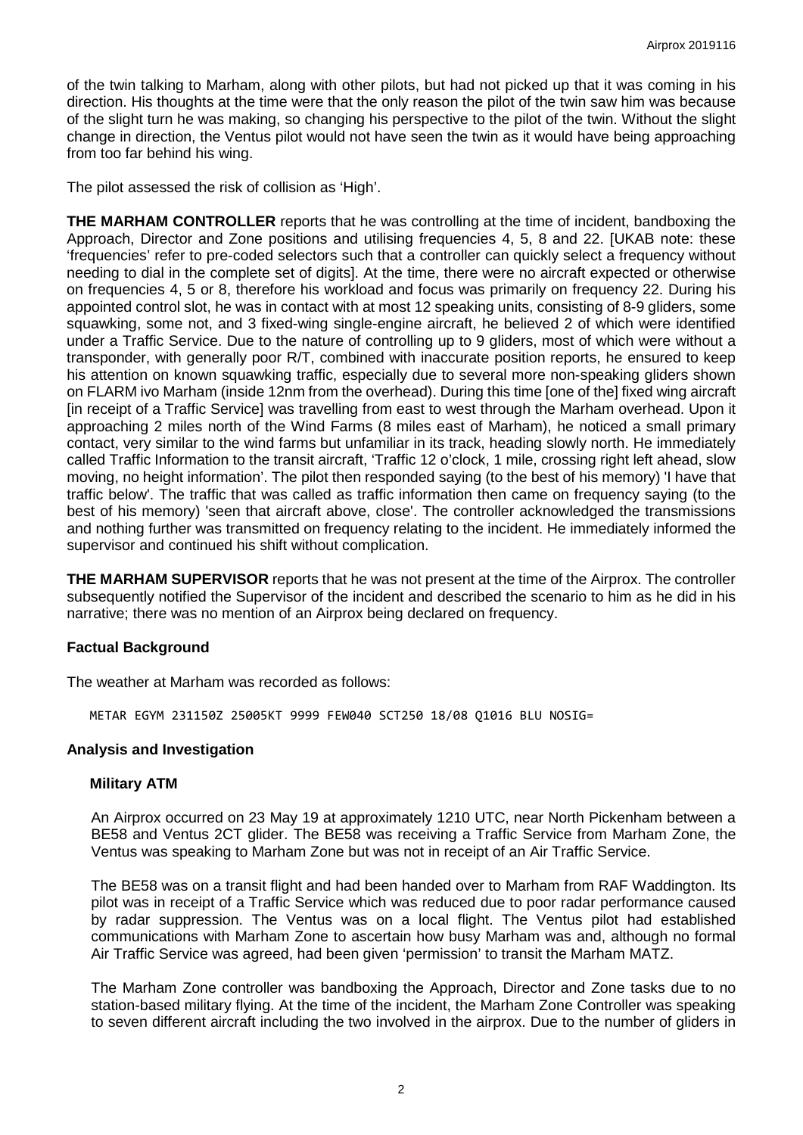of the twin talking to Marham, along with other pilots, but had not picked up that it was coming in his direction. His thoughts at the time were that the only reason the pilot of the twin saw him was because of the slight turn he was making, so changing his perspective to the pilot of the twin. Without the slight change in direction, the Ventus pilot would not have seen the twin as it would have being approaching from too far behind his wing.

The pilot assessed the risk of collision as 'High'.

**THE MARHAM CONTROLLER** reports that he was controlling at the time of incident, bandboxing the Approach, Director and Zone positions and utilising frequencies 4, 5, 8 and 22. [UKAB note: these 'frequencies' refer to pre-coded selectors such that a controller can quickly select a frequency without needing to dial in the complete set of digits]. At the time, there were no aircraft expected or otherwise on frequencies 4, 5 or 8, therefore his workload and focus was primarily on frequency 22. During his appointed control slot, he was in contact with at most 12 speaking units, consisting of 8-9 gliders, some squawking, some not, and 3 fixed-wing single-engine aircraft, he believed 2 of which were identified under a Traffic Service. Due to the nature of controlling up to 9 gliders, most of which were without a transponder, with generally poor R/T, combined with inaccurate position reports, he ensured to keep his attention on known squawking traffic, especially due to several more non-speaking gliders shown on FLARM ivo Marham (inside 12nm from the overhead). During this time [one of the] fixed wing aircraft [in receipt of a Traffic Service] was travelling from east to west through the Marham overhead. Upon it approaching 2 miles north of the Wind Farms (8 miles east of Marham), he noticed a small primary contact, very similar to the wind farms but unfamiliar in its track, heading slowly north. He immediately called Traffic Information to the transit aircraft, 'Traffic 12 o'clock, 1 mile, crossing right left ahead, slow moving, no height information'. The pilot then responded saying (to the best of his memory) 'I have that traffic below'. The traffic that was called as traffic information then came on frequency saying (to the best of his memory) 'seen that aircraft above, close'. The controller acknowledged the transmissions and nothing further was transmitted on frequency relating to the incident. He immediately informed the supervisor and continued his shift without complication.

**THE MARHAM SUPERVISOR** reports that he was not present at the time of the Airprox. The controller subsequently notified the Supervisor of the incident and described the scenario to him as he did in his narrative; there was no mention of an Airprox being declared on frequency.

## **Factual Background**

The weather at Marham was recorded as follows:

METAR EGYM 231150Z 25005KT 9999 FEW040 SCT250 18/08 Q1016 BLU NOSIG=

## **Analysis and Investigation**

#### **Military ATM**

An Airprox occurred on 23 May 19 at approximately 1210 UTC, near North Pickenham between a BE58 and Ventus 2CT glider. The BE58 was receiving a Traffic Service from Marham Zone, the Ventus was speaking to Marham Zone but was not in receipt of an Air Traffic Service.

The BE58 was on a transit flight and had been handed over to Marham from RAF Waddington. Its pilot was in receipt of a Traffic Service which was reduced due to poor radar performance caused by radar suppression. The Ventus was on a local flight. The Ventus pilot had established communications with Marham Zone to ascertain how busy Marham was and, although no formal Air Traffic Service was agreed, had been given 'permission' to transit the Marham MATZ.

The Marham Zone controller was bandboxing the Approach, Director and Zone tasks due to no station-based military flying. At the time of the incident, the Marham Zone Controller was speaking to seven different aircraft including the two involved in the airprox. Due to the number of gliders in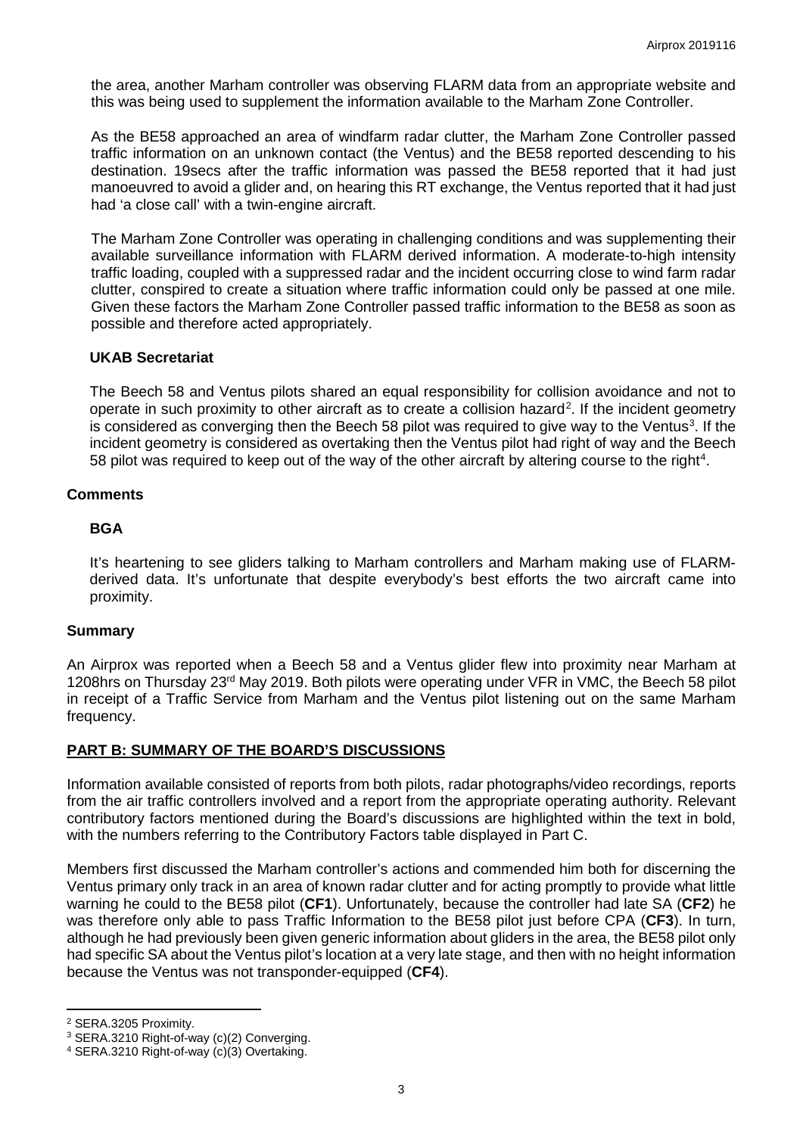the area, another Marham controller was observing FLARM data from an appropriate website and this was being used to supplement the information available to the Marham Zone Controller.

As the BE58 approached an area of windfarm radar clutter, the Marham Zone Controller passed traffic information on an unknown contact (the Ventus) and the BE58 reported descending to his destination. 19secs after the traffic information was passed the BE58 reported that it had just manoeuvred to avoid a glider and, on hearing this RT exchange, the Ventus reported that it had just had 'a close call' with a twin-engine aircraft.

The Marham Zone Controller was operating in challenging conditions and was supplementing their available surveillance information with FLARM derived information. A moderate-to-high intensity traffic loading, coupled with a suppressed radar and the incident occurring close to wind farm radar clutter, conspired to create a situation where traffic information could only be passed at one mile. Given these factors the Marham Zone Controller passed traffic information to the BE58 as soon as possible and therefore acted appropriately.

## **UKAB Secretariat**

The Beech 58 and Ventus pilots shared an equal responsibility for collision avoidance and not to operate in such proximity to other aircraft as to create a collision hazard<sup>[2](#page-2-0)</sup>. If the incident geometry is considered as converging then the Beech 58 pilot was required to give way to the Ventus<sup>[3](#page-2-1)</sup>. If the incident geometry is considered as overtaking then the Ventus pilot had right of way and the Beech 58 pilot was required to keep out of the way of the other aircraft by altering course to the right<sup>[4](#page-2-2)</sup>.

### **Comments**

### **BGA**

It's heartening to see gliders talking to Marham controllers and Marham making use of FLARMderived data. It's unfortunate that despite everybody's best efforts the two aircraft came into proximity.

#### **Summary**

An Airprox was reported when a Beech 58 and a Ventus glider flew into proximity near Marham at 1208hrs on Thursday 23rd May 2019. Both pilots were operating under VFR in VMC, the Beech 58 pilot in receipt of a Traffic Service from Marham and the Ventus pilot listening out on the same Marham frequency.

## **PART B: SUMMARY OF THE BOARD'S DISCUSSIONS**

Information available consisted of reports from both pilots, radar photographs/video recordings, reports from the air traffic controllers involved and a report from the appropriate operating authority. Relevant contributory factors mentioned during the Board's discussions are highlighted within the text in bold, with the numbers referring to the Contributory Factors table displayed in Part C.

Members first discussed the Marham controller's actions and commended him both for discerning the Ventus primary only track in an area of known radar clutter and for acting promptly to provide what little warning he could to the BE58 pilot (**CF1**). Unfortunately, because the controller had late SA (**CF2**) he was therefore only able to pass Traffic Information to the BE58 pilot just before CPA (**CF3**). In turn, although he had previously been given generic information about gliders in the area, the BE58 pilot only had specific SA about the Ventus pilot's location at a very late stage, and then with no height information because the Ventus was not transponder-equipped (**CF4**).

l

<span id="page-2-0"></span><sup>2</sup> SERA.3205 Proximity.

<span id="page-2-1"></span><sup>&</sup>lt;sup>3</sup> SERA.3210 Right-of-way (c)(2) Converging.<br><sup>4</sup> SERA.3210 Right-of-way (c)(3) Overtaking.

<span id="page-2-2"></span>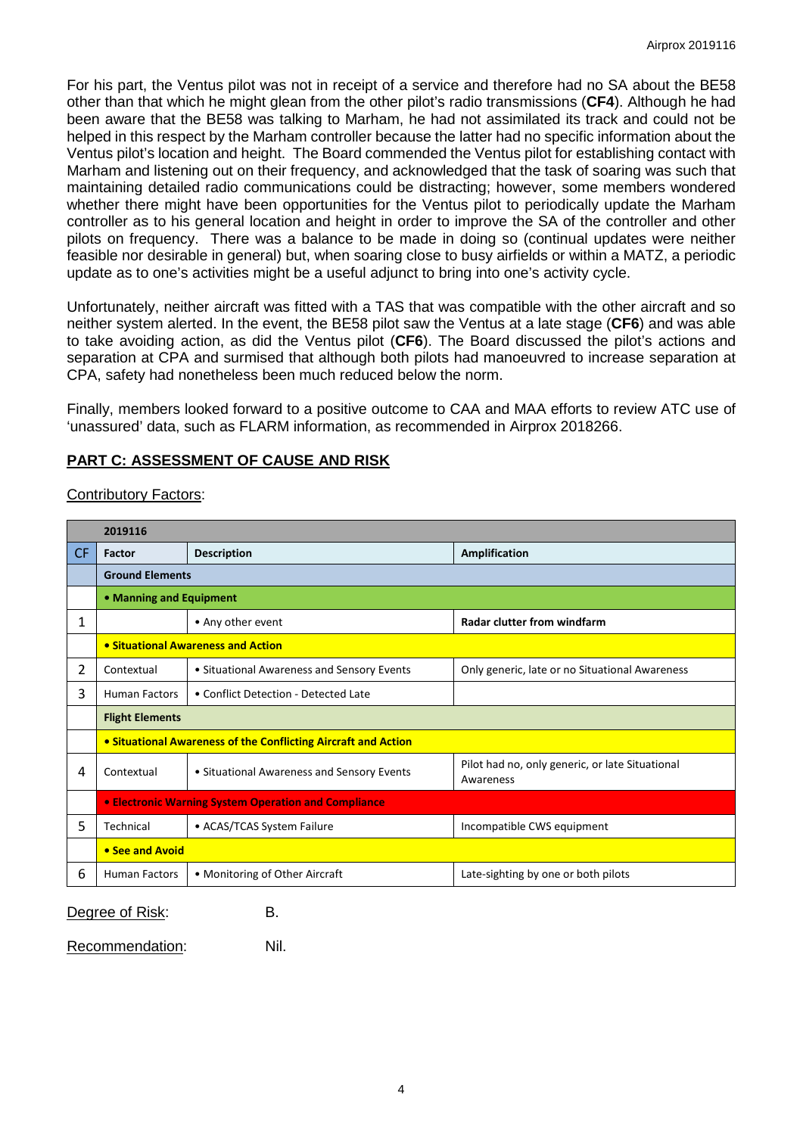For his part, the Ventus pilot was not in receipt of a service and therefore had no SA about the BE58 other than that which he might glean from the other pilot's radio transmissions (**CF4**). Although he had been aware that the BE58 was talking to Marham, he had not assimilated its track and could not be helped in this respect by the Marham controller because the latter had no specific information about the Ventus pilot's location and height. The Board commended the Ventus pilot for establishing contact with Marham and listening out on their frequency, and acknowledged that the task of soaring was such that maintaining detailed radio communications could be distracting; however, some members wondered whether there might have been opportunities for the Ventus pilot to periodically update the Marham controller as to his general location and height in order to improve the SA of the controller and other pilots on frequency. There was a balance to be made in doing so (continual updates were neither feasible nor desirable in general) but, when soaring close to busy airfields or within a MATZ, a periodic update as to one's activities might be a useful adjunct to bring into one's activity cycle.

Unfortunately, neither aircraft was fitted with a TAS that was compatible with the other aircraft and so neither system alerted. In the event, the BE58 pilot saw the Ventus at a late stage (**CF6**) and was able to take avoiding action, as did the Ventus pilot (**CF6**). The Board discussed the pilot's actions and separation at CPA and surmised that although both pilots had manoeuvred to increase separation at CPA, safety had nonetheless been much reduced below the norm.

Finally, members looked forward to a positive outcome to CAA and MAA efforts to review ATC use of 'unassured' data, such as FLARM information, as recommended in Airprox 2018266.

### **PART C: ASSESSMENT OF CAUSE AND RISK**

#### Contributory Factors:

| 2019116 |                                                                |                                            |                                                              |
|---------|----------------------------------------------------------------|--------------------------------------------|--------------------------------------------------------------|
| CF.     | Factor                                                         | <b>Description</b>                         | Amplification                                                |
|         | <b>Ground Elements</b>                                         |                                            |                                                              |
|         | • Manning and Equipment                                        |                                            |                                                              |
| 1       |                                                                | • Any other event                          | <b>Radar clutter from windfarm</b>                           |
|         | • Situational Awareness and Action                             |                                            |                                                              |
| 2       | Contextual                                                     | • Situational Awareness and Sensory Events | Only generic, late or no Situational Awareness               |
| 3       | <b>Human Factors</b>                                           | • Conflict Detection - Detected Late       |                                                              |
|         | <b>Flight Elements</b>                                         |                                            |                                                              |
|         | • Situational Awareness of the Conflicting Aircraft and Action |                                            |                                                              |
| 4       | Contextual                                                     | • Situational Awareness and Sensory Events | Pilot had no, only generic, or late Situational<br>Awareness |
|         | <b>• Electronic Warning System Operation and Compliance</b>    |                                            |                                                              |
| 5       | Technical                                                      | • ACAS/TCAS System Failure                 | Incompatible CWS equipment                                   |
|         | • See and Avoid                                                |                                            |                                                              |
| 6       | <b>Human Factors</b>                                           | • Monitoring of Other Aircraft             | Late-sighting by one or both pilots                          |

Degree of Risk: B.

Recommendation: Nil.